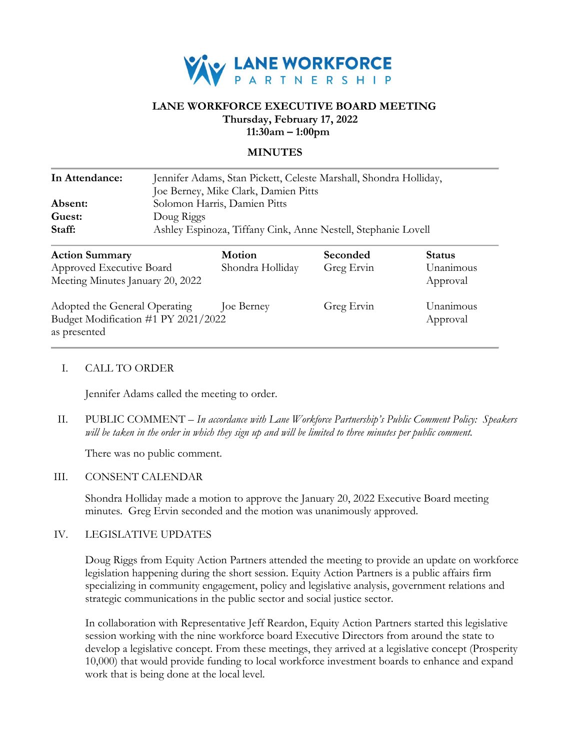

# **LANE WORKFORCE EXECUTIVE BOARD MEETING Thursday, February 17, 2022 11:30am – 1:00pm**

#### **MINUTES**

| In Attendance:<br>Absent:<br>Guest:<br>Staff:                                        | Jennifer Adams, Stan Pickett, Celeste Marshall, Shondra Holliday,<br>Joe Berney, Mike Clark, Damien Pitts<br>Solomon Harris, Damien Pitts<br>Doug Riggs<br>Ashley Espinoza, Tiffany Cink, Anne Nestell, Stephanie Lovell |                                   |                        |                            |
|--------------------------------------------------------------------------------------|--------------------------------------------------------------------------------------------------------------------------------------------------------------------------------------------------------------------------|-----------------------------------|------------------------|----------------------------|
| <b>Action Summary</b><br>Approved Executive Board                                    |                                                                                                                                                                                                                          | <b>Motion</b><br>Shondra Holliday | Seconded<br>Greg Ervin | <b>Status</b><br>Unanimous |
| Meeting Minutes January 20, 2022                                                     |                                                                                                                                                                                                                          |                                   |                        | Approval                   |
| Adopted the General Operating<br>Budget Modification #1 PY 2021/2022<br>as presented |                                                                                                                                                                                                                          | Joe Berney                        | Greg Ervin             | Unanimous<br>Approval      |

### I. CALL TO ORDER

Jennifer Adams called the meeting to order.

II. PUBLIC COMMENT – *In accordance with Lane Workforce Partnership's Public Comment Policy: Speakers will be taken in the order in which they sign up and will be limited to three minutes per public comment.*

There was no public comment.

#### III. CONSENT CALENDAR

Shondra Holliday made a motion to approve the January 20, 2022 Executive Board meeting minutes. Greg Ervin seconded and the motion was unanimously approved.

### IV. LEGISLATIVE UPDATES

Doug Riggs from Equity Action Partners attended the meeting to provide an update on workforce legislation happening during the short session. Equity Action Partners is a public affairs firm specializing in community engagement, policy and legislative analysis, government relations and strategic communications in the public sector and social justice sector.

In collaboration with Representative Jeff Reardon, Equity Action Partners started this legislative session working with the nine workforce board Executive Directors from around the state to develop a legislative concept. From these meetings, they arrived at a legislative concept (Prosperity 10,000) that would provide funding to local workforce investment boards to enhance and expand work that is being done at the local level.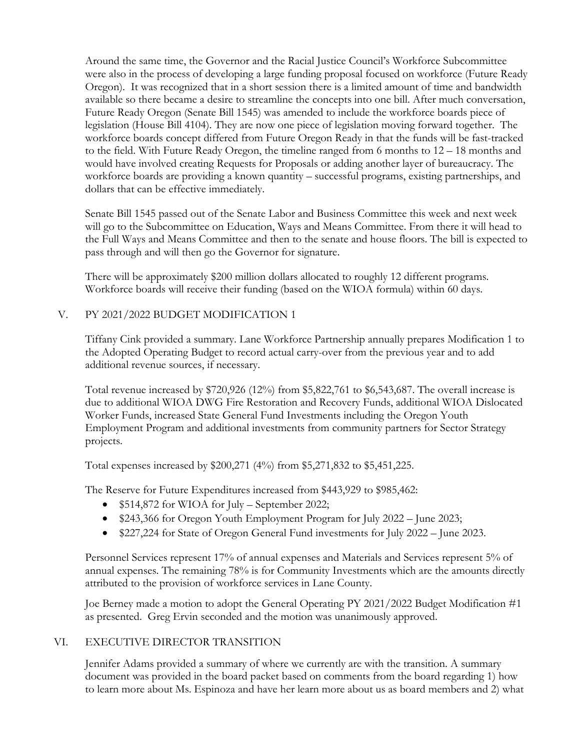Around the same time, the Governor and the Racial Justice Council's Workforce Subcommittee were also in the process of developing a large funding proposal focused on workforce (Future Ready Oregon). It was recognized that in a short session there is a limited amount of time and bandwidth available so there became a desire to streamline the concepts into one bill. After much conversation, Future Ready Oregon (Senate Bill 1545) was amended to include the workforce boards piece of legislation (House Bill 4104). They are now one piece of legislation moving forward together. The workforce boards concept differed from Future Oregon Ready in that the funds will be fast-tracked to the field. With Future Ready Oregon, the timeline ranged from 6 months to 12 – 18 months and would have involved creating Requests for Proposals or adding another layer of bureaucracy. The workforce boards are providing a known quantity – successful programs, existing partnerships, and dollars that can be effective immediately.

Senate Bill 1545 passed out of the Senate Labor and Business Committee this week and next week will go to the Subcommittee on Education, Ways and Means Committee. From there it will head to the Full Ways and Means Committee and then to the senate and house floors. The bill is expected to pass through and will then go the Governor for signature.

There will be approximately \$200 million dollars allocated to roughly 12 different programs. Workforce boards will receive their funding (based on the WIOA formula) within 60 days.

# V. PY 2021/2022 BUDGET MODIFICATION 1

Tiffany Cink provided a summary. Lane Workforce Partnership annually prepares Modification 1 to the Adopted Operating Budget to record actual carry-over from the previous year and to add additional revenue sources, if necessary.

Total revenue increased by \$720,926 (12%) from \$5,822,761 to \$6,543,687. The overall increase is due to additional WIOA DWG Fire Restoration and Recovery Funds, additional WIOA Dislocated Worker Funds, increased State General Fund Investments including the Oregon Youth Employment Program and additional investments from community partners for Sector Strategy projects.

Total expenses increased by \$200,271 (4%) from \$5,271,832 to \$5,451,225.

The Reserve for Future Expenditures increased from \$443,929 to \$985,462:

- \$514,872 for WIOA for July September 2022;
- \$243,366 for Oregon Youth Employment Program for July 2022 June 2023;
- \$227,224 for State of Oregon General Fund investments for July 2022 June 2023.

Personnel Services represent 17% of annual expenses and Materials and Services represent 5% of annual expenses. The remaining 78% is for Community Investments which are the amounts directly attributed to the provision of workforce services in Lane County.

Joe Berney made a motion to adopt the General Operating PY 2021/2022 Budget Modification #1 as presented. Greg Ervin seconded and the motion was unanimously approved.

# VI. EXECUTIVE DIRECTOR TRANSITION

Jennifer Adams provided a summary of where we currently are with the transition. A summary document was provided in the board packet based on comments from the board regarding 1) how to learn more about Ms. Espinoza and have her learn more about us as board members and 2) what